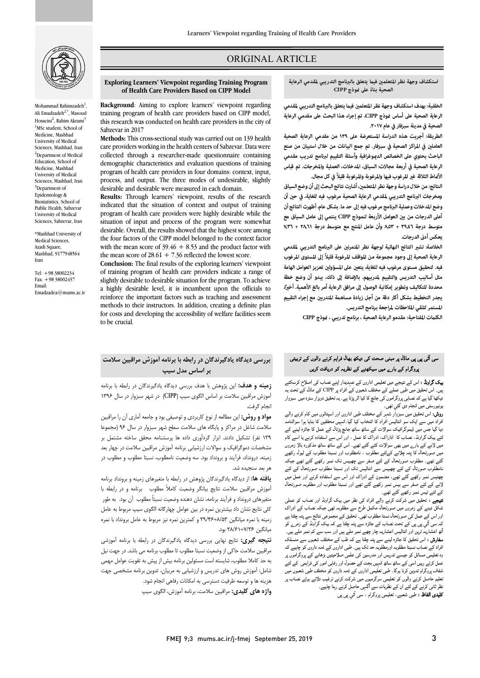

Mohammad Rahimzadeh<sup>1</sup>, Ali Emadzadeh<sup>2,\*</sup>, Masoud Hosseini<sup>2</sup>, Rahim Akrami<sup>3</sup> <sup>1</sup>MSc student, School of Medicine, Mashhad University of Medical Sciences, Mashhad, Iran <sup>2</sup>Department of Medical Education, School of Medicine, Mashhad University of Medical Sciences, Mashhad, Iran <sup>3</sup>Department of Epidemiology & Biostatistics, School of Public Health, Sabzevar University of Medical Sciences, Sabzevar, Iran

\*Mashhad University of Medical Sciences, Azadi Square Mashhad, 9177948564 Iran

Tel: +98 38002234 Fax: +98 38002437 Email: Emadzadea@mums.ac.ir

## ORIGINAL ARTICLE

#### **Exploring Learners' Viewpoint regarding Training Program of Health Care Providers Based on CIPP Model**

i

 training program of health care providers based on CIPP model, this research was conducted on health care providers in the city of **Background**: Aiming to explore learners' viewpoint regarding Sabzevar in 2017

 **Methods:** This cross-sectional study was carried out on 139 health care providers working in the health centers of Sabzevar. Data were collected through a researcher-made questionnaire containing program of health care providers in four domains: context, input, process, and output. The three modes of undesirable, slightly desirable and desirable were measured in each domain. demographic characteristics and evaluation questions of training

indicated that the situation of context and output of training program of health care providers were highly desirable while the situation of input and process of the program were somewhat the four factors of the CIPP model belonged to the context factor with the mean score of  $39.46 + 8.53$  and the product factor with **Results:** Through learners' viewpoint, results of the research desirable. Overall, the results showed that the highest score among the mean score of  $28.61 + 7.36$  reflected the lowest score.

 **Conclusion:** The final results of the exploring learners' viewpoint of training program of health care providers indicate a range of slightly desirable to desirable situation for the program. To achieve reinforce the important factors such as teaching and assessment methods to their instructors. In addition, creating a definite plan for costs and developing the accessibility of welfare facilities seem<br>to be exuated a highly desirable level, it is incumbent upon the officials to to be crucial.

### **بررسی دیدگاه یادگیرندگان در رابطه با برنامه آموزش مراقبین سلامت بر اساس مدل سیپ**

 **زمینه و هدف:** این پژوهش با هدف بررسی دیدگاه یادگیرندگان در رابطه با برنامه آموزش مراقبین سلامت بر اساس الگوي سیپ (CIPP (در شهر سبزوار در سال 1396 انجام گرفت.

م<sub>ح</sub>ب <sub>حر</sub>حت.<br>**مواد و روش:** این مطالعه از نوع کاربردی و توصیفی بود و جامعه آماری آن را مراقبین سلامت شاغل در مراکز و پایگاه هاي سلامت سطح شهر سبزوار در سال 96 (مجموعا 139 نفر) تشکیل دادند. ابزار گردآوري داده ها پرسشنامه محقق ساخته مشتمل بر مشخصات دموگرافیک و سوالات ارزشیابی برنامه آموزش مراقبین سلامت در چهار بعد زمینه، درونداد، فرآیند و برونداد بود. سه وضعیت نامطلوب، نسبتا مطلوب و مطلوب در هر بعد سنجیده شد.

 **یافته ها:** از دیدگاه یادگیرندگان پژوهش در رابطه با متغیرهاي زمینه و برونداد برنامه آموزش مراقبین سلامت نتایج بیانگر وضعیت کاملاً مطلوب برنامه و در رابطه با مسیرستی دروستاد و عزایت براست نسان مستده و علیت استبد مستوجا این بود. به عوار<br>کلی نتایج نشان داد بیشترین نمره در بین عوامل چهارگانه الگوی سیپ مربوط به عامل زمینه با نمره میانگین 39/46+8/53 و کمترین نمره نیز مربوط به عامل برونداد با نمره متغیرهاي درونداد و فرآیند برنامه، نشان دهنده وضعیت نسبتاً مطلوب آن بود. به طور میانگین 28/61+7/36 بود.

 **نتیجه گیري:** نتایج نهایی بررسی دیدگاه یادگیرندگان در رابطه با برنامه آموزشی مراقبین سلامت حاکی از وضعیت نسبتا مطلوب تا مطلوب برنامه می باشد. در جهت نیل به حد کاملا مطلوب، شایسته است مسئولین برنامه بیش از پیش به تقویت عوامل مهمی شامل: آموزش روش هاي تدریس و ارزشیابی به مربیان، تدوین برنامه مشخصی جهت هزینه ها و توسعه ظرفیت دسترسی به امکانات رفاهی انجام شود.

**واژه هاي کلیدي:** مراقبین سلامت، برنامه آموزش، الگوي سیپ

ص

 **الخلفية: بهدف استكشاف وجهة نظر المتعلم في يتعلق بالبرنامج التدريبي لمقدمي الرعاية الصحية على أساس وذج CIPP، تم إجراء هذا البحث على مقدمي الرعاية الصحية في مدينة سبزفار في عام .٢٠١٧** 

 **الطريقة: أجريت هذه الدراسة المستعرضة على ١٣٩ من مقدمي الرعاية الصحية العامل في المراكز الصحية في سبزفار. تم جمع البيانات من خلال استبيان من صنع الباحث يحتوي على الخصائص الدوغرافية وأسئلة التقييم لبرنامج تدريب مقدمي الرعاية الصحية في أربعة مجالات: السياق، المدخلات، العملية والمخرجات. تم قياس**  الأ*خ*اط الثلاثة غير المرغوب فيها والمرغوبة والمرغوبة قليلاً في كل مجال.

 **النتائج:من خلال دراسة وجهة نظر المتعلم، أشارت نتائج البحث إلى أن وضع السياق وضع المدخلات وعملية البرنامج مرغوب فيه إلى حد ما. بشكل عام، أظهر ت النتائج أن أعلى الدرجات من ب العوامل الأربعة لنموذج CIPP ينتمي إلى عامل السياق مع متوسط درجة ٣٩٫٤٦ + ٨٫٥٣ وأن عامل المنتج مع متوسط درجة ٢٨٫٦١ + ٧٫٣٦** يعكس أدنى الدرجات. ومخرجات البرنامج التدريبي لمقدمي الرعاية الصحية مرغوب فيه للغاية، في حين أن

الخلاصة: تشير النتائج النهائية لوجهة نظر المتمرنين على البرنامج التدريبي لمقدمي **الرعاية الصحية إلى وجود مجموعة من المواقف المرغوبة قليلاً إلى المستوى المرغوب فيه. لتحقيق مستوى مرغوب فيه للغاية، يتع على المسؤول تعزيز العوامل الهامة محددة للتكاليف وتطوير إمكانية الو ً صول إلى مرافق الرعاية أمر بالغ الأهمية. أخا، يجدر التخطيط بشكل أك دقة من أجل زيادة مساهمة المتدرب مع إجراء التقييم المستمر لتلقي الملاحظات لمراجعة برنامج التدريس. مثل أساليب التدريس والتقييم لمدربيهم. بالإضافة إلى ذلك، يبدو أن وضع خطة** 

**الكلت المفتاحية:مقدمو الرعاية الصحية ، برنامج تدريبي ، وذج CIPP** 

# ۔<br>سی آئی پی پی ماڈل پر مبنی صحت کی دیکھ بھال فراہم کرنے والوں کے تربیتی میں ہے۔<br><sub>پر</sub>وگرام کے بارے میں سیکھنے کے نظریہ کر دریافت کریں ۔

یک گر**اونڈ :** اس کے نتیجے میں تعلیمی اداروں کے عہدیدار اپنے نصاب کی اصلاح کرسکتے ۔<br>\* ۔ اس میں سے اس کے اس کے اس کے اس کے اس کے اس کے اس کے اس کے اس کے اس کے تحت یہ<br>بیں۔ اس تحقیق میں طبی عملے کے مختلف شعبوں کے افراد پر CIPP کے ماڈل کے تحت یہ بیکھا گیا ہے کہ نصابی پروگراموں کی جانچ کا کیا اثر پڑتا ہے۔ یہ تحقیق دوپزار سترہ میں سبزوار يونيورسٹي ميں انجام دي گئي تھي۔

روسیں ہیں۔<br>**روش:** اس تحقیق میں سبزوار شہر کے مختلف طبی اداروں اور اسپتالوں میں کام کرنے والے فراد میں سے ایک سو انتالیس افراد کا انتخاب کیا گیا۔انہیں محققین کا بنایا ہوا سوالنامہ یہ ہے جس بین بیموں ہے۔ سورت سے سب سب بس پردے سے مس ۔ بسر بینے سے<br>عے بیک گراونڈ، نصاب کا اداراک، ادراک کا عمل ، اور اس سے استفادہ کرنے یا اسے کام میں لانے کے بارے میں بھی سوالات کئے گئے تھے۔ اس کے ساتھ ساتھ مذکورہ بالا زمروں میں صورت ف پیم پرنے کےسے حصوب ، فیصنوب اور مسبد مصوب کے بیرہ رہے۔<br>گئے تھے۔ مطلوب صورتحال کے لئے صفر سے چھبیس تک نمبر رکھے گئے تھے جبکہ نامطلوب صورتال کے لئے چھبیس سے انتالیس تک اور نسبتا مطلوب صورتحال کے لئے پہیس عبر رتبے سے بھے. منتشوں نے ابرات اور اس سے استعادہ ترتے اور حس میں<br>(نے کے لئے صفر سے بیس نمبر رکھے گئے تھے اور نسبتا مطلوب اور مطلوبہ صورتحال کے لئے تیس نمبر رکھے گئے تھے۔ دیا گیا جس میں ڈیموگرافیک سوالات کے ساتھ ساتھ جانچ پڑتال کے عمل کا جائزہ لینے کے میں صورتحال کا پتہ چلانے کےلئے مطلوب ، نامطلوب اور نسبتا مطلوب کے لیول رکھے چھتیس نمبر رکھے گئے تھے، مضمون کے ادراک اور اس سے استفادہ کرنے اور عمل میں

**تیبعے :** تحقیق میں شرکت کرنے والے افراد کی نظر میں بیک گراونڈ اور نصاب کو عملی<br>فرکار درے میں مسلمات اور بیٹ اور بیٹ میں اور بیٹ میں میں کو اسکیل ایک ور اس کے عمل کی صورتحال نستا مطلوب تھی۔ تحقیق کے مجموعی نتائج سے پتہ چلتا ہے تہ سی آئي پی پی نے بحت نصاب نے جانزہ سے پتہ چتنا ہے تہ پیٹ تراوید نے رمرے تو ۔<br>ثُمِ اعشاریہ ترپن اور انتالیس اعشاریہ چار چھے نمبر ملے ہیں اور سب سے کم نمبر ملے ہیں۔ **سفارش :** اس تحقیق کا جائزہ لینے سے پتہ چلتا ہے کہ طب کے مختلف شعبوں سے منسلک افراد کے نصاب نسبتا مطلوبہ اورمطلوبہ حد تک ہیں۔ طبی اداروں کے ذمہ داروں کو چاہیے کہ<br>مسلمات ĺ, شفاف پروگرام تدوین کرنا ہوگا۔ طبی تعلیمی اداروں کے ذمہ داروں کو مختلف طبی شعبوں میں<br>۔ نظر ثانی کرنے کے لئے ان کے نظریات سے آگہی حاصل کرنے رہنا چاہیے۔ **کلیدی الفاظ :** طبی شعبے، تعلیمی پروگرام ، سی آئي پی پی شکل دینے کے زمروں میں صورتحال مکمل طرح سے مطلوبہ تھی جبکہ نصاب کے ادراک کہ سی آئی پی پی کے تحت نصاب کے جائزہ سے پتہ چلتا ہے کہ بیک گراونڈ کے زمرے کو وہ تعلیمی مسائل کو جیسے تدریس اور مدرسین کی علمی صلاحیتیں بڑھانے کے پروگراموں پر عمل کرتے رہیں اسی کے ساتھ ساتھ انہیں بجٹ کے حصول اور رفاہی امور کی فراہمی کے لئے ر۔<br>تعلیم حاصل کرنے والوں کو تعلیمی سرگرمیوں میں شرکت کرنے ترغیب دلاتے ہوئے نصاب پر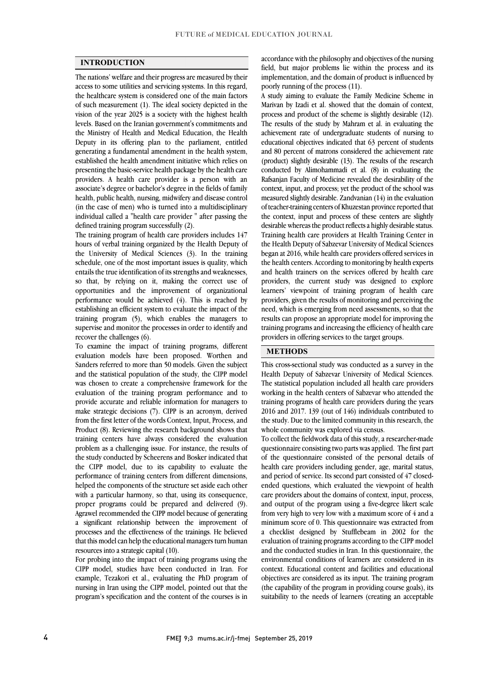#### **INTRODUCTION**

 The nations' welfare and their progress are measured by their access to some utilities and servicing systems. In this regard, the healthcare system is considered one of the main factors of such measurement (1). The ideal society depicted in the levels. Based on the Iranian government's commitments and the Ministry of Health and Medical Education, the Health Deputy in its offering plan to the parliament, entitled generating a fundamental amendment in the health system, presenting the basic-service health package by the health care providers. A health care provider is a person with an associate's degree or bachelor's degree in the fields of family health, public health, nursing, midwifery and disease control individual called a "health care provider " after passing the vision of the year 2025 is a society with the highest health established the health amendment initiative which relies on (in the case of men) who is turned into a multidisciplinary defined training program successfully (2).

 The training program of health care providers includes 147 the University of Medical Sciences (3). In the training schedule, one of the most important issues is quality, which entails the true identification of its strengths and weaknesses, so that, by relying on it, making the correct use of opportunities and the improvement of organizational establishing an efficient system to evaluate the impact of the training program (5), which enables the managers to supervise and monitor the processes in order to identify and hours of verbal training organized by the Health Deputy of performance would be achieved (4). This is reached by recover the challenges (6).

 To examine the impact of training programs, different evaluation models have been proposed. Worthen and Sanders referred to more than 50 models. Given the subject and the statistical population of the study, the CIPP model was chosen to create a comprehensive namework for the evaluation of the training program performance and to provide accurate and reliable information for managers to make strategic decisions (7). CIPP is an acronym, derived from the first letter of the words Context, Input, Process, and training centers have always considered the evaluation problem as a challenging issue. For instance, the results of the study conducted by Scheerens and Bosker indicated that the CIPP model, due to its capability to evaluate the helped the components of the structure set aside each other with a particular harmony, so that, using its consequence, proper programs could be prepared and delivered (9). Agrawel recommended the CIPP model because of generating processes and the effectiveness of the trainings. He believed that this model can help the educational managers turn human was chosen to create a comprehensive framework for the Product (8). Reviewing the research background shows that performance of training centers from different dimensions, a significant relationship between the improvement of resources into a strategic capital (10).

 For probing into the impact of training programs using the example, Tezakori et al., evaluating the PhD program of nursing in Iran using the CIPP model, pointed out that the program's specification and the content of the courses is in CIPP model, studies have been conducted in Iran. For

 field, but major problems lie within the process and its implementation, and the domain of product is influenced by accordance with the philosophy and objectives of the nursing poorly running of the process (11).

 A study aiming to evaluate the Family Medicine Scheme in process and product of the scheme is slightly desirable (12). achievement rate of undergraduate students of nursing to educational objectives indicated that 63 percent of students and 80 percent of matrons considered the achievement rate conducted by Alimohammadi et al.  $(8)$  in evaluating the Rafsanjan Faculty of Medicine revealed the desirability of the context, input, and process; yet the product of the school was measured slightly desirable. Zandvanian (14) in the evaluation the context, input and process of these centers are slightly desirable whereas the product reflects a highly desirable status. Training health care providers at Health Training Center in the Health Deputy of Sabzevar University of Medical Sciences began at 2010, while health care providers offered services in and health trainers on the services offered by health care providers, the current study was designed to explore learners' viewpoint of training program of health care providers, given the results of momoring and perceiving the need, which is emerging from need assessments, so that the results can propose an appropriate model for improving the training programs and increasing the efficiency of health care Marivan by Izadi et al. showed that the domain of context, The results of the study by Mahram et al. in evaluating the (product) slightly desirable (13). The results of the research of teacher-training centers of Khuzestan province reported that began at 2016, while health care providers offered services in providers, given the results of monitoring and perceiving the providers in offering services to the target groups.

## **METHODS**

 This cross-sectional study was conducted as a survey in the Health Deputy of Sabzevar University of Medical Sciences. The statistical population included all health care providers training programs of health care providers during the years 2016 and 2017. 139 (out of 146) individuals contributed to the study. Due to the limited community in this research, the working in the health centers of Sabzevar who attended the whole community was explored via census.

 questionnaire consisting two parts was applied. The first part of the questionnaire consisted of the personal details of health care providers including gender, age, marital status, and period of service. Its second part consisted of 47 closed- care providers about the domains of context, input, process, and output of the program using a five-degree likert scale from very high to very low with a maximum score of 4 and a minimum score of 0. This questionnaire was extracted from evaluation of training programs according to the CIPP model and the conducted studies in Iran. In this questionnaire, the environmental conditions of learners are considered in its context. Educational content and facilities and educational (the capability of the program in providing course goals), its suitability to the needs of learners (creating an acceptable To collect the fieldwork data of this study, a researcher-made ended questions, which evaluated the viewpoint of health a checklist designed by Stufflebeam in 2002 for the objectives are considered as its input. The training program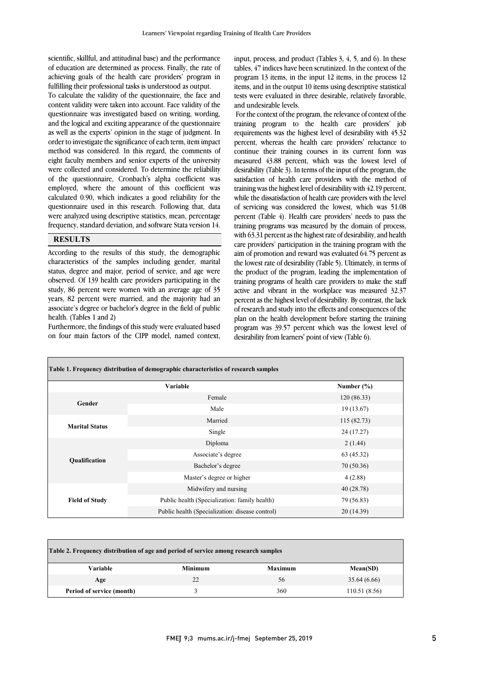of education are determined as process. Finally, the rate of achieving goals of the health care providers' program in scientific, skillful, and attitudinal base) and the performance fulfilling their professional tasks is understood as output.

 To calculate the validity of the questionnaire, the face and questionnaire was investigated based on writing, wording, and the logical and exciting appearance of the questionnaire as well as the experts' opinion in the stage of judgment. In order to investigate the significance of each term, item impact eight faculty members and senior experts of the university were collected and considered. To determine the reliability of the questionnaire, Cronbach's alpha coefficient was employed, where the amount of this coefficient was questionnaire used in this research. Following that, data were analyzed using descriptive statistics, mean, percentage frequency, standard deviation, and software Stata version 14. content validity were taken into account. Face validity of the method was considered. In this regard, the comments of calculated 0.90, which indicates a good reliability for the

## **RESULTS**

 According to the results of this study, the demographic characteristics of the samples including gender, marital status, degree and major, period of service, and age were observed. Of 139 health care providers participating in the years, 82 percent were married, and the majority had an associate's degree or bachelor's degree in the field of public study, 86 percent were women with an average age of 35 health. (Tables 1 and 2)

 Furthermore, the findings of this study were evaluated based on four main factors of the CIPP model, named context,

tables,  $47$  indices have been scrutinized. In the context of the program 13 items, in the input 12 items, in the process 12 items, and in the output 10 items using descriptive statistical tests were evaluated in three desirable, relatively favorable, input, process, and product (Tables 3, 4, 5, and 6). In these and undesirable levels.

 For the context of the program, the relevance of context of the training program to the health care providers' job requirements was the highest level of desirability with 45.32 percent, whereas the health care providers' reluctance to measured 43.88 percent, which was the lowest level of desirability (Table 3). In terms of the input of the program, the satisfaction of health care providers with the method of training was the highest level of desirability with 42.19 percent, of servicing was considered the lowest, which was 51.08 percent (Table 4). Health care providers' needs to pass the training programs was measured by the domain of process, with 63.31 percent as the highest rate of desirability, and health aim of promotion and reward was evaluated 64.75 percent as the lowest rate of desirability (Table 5). Ultimately, in terms of the product of the program, leading the implementation of training programs of health care providers to make the staff active and vibrant in the workplace was measured 32.37 of research and study into the effects and consequences of the plan on the health development before starting the training program was 39.57 percent which was the lowest level of continue their training courses in its current form was while the dissatisfaction of health care providers with the level care providers' participation in the training program with the percent as the highest level of desirability. By contrast, the lack desirability from learners' point of view (Table 6).

| Table 1. Frequency distribution of demographic characteristics of research samples |                                                 |                |  |  |
|------------------------------------------------------------------------------------|-------------------------------------------------|----------------|--|--|
|                                                                                    | Variable                                        | Number $(\% )$ |  |  |
| Gender                                                                             | Female                                          | 120(86.33)     |  |  |
|                                                                                    | Male                                            | 19(13.67)      |  |  |
| <b>Marital Status</b>                                                              | Married                                         | 115(82.73)     |  |  |
|                                                                                    | Single                                          | 24 (17.27)     |  |  |
|                                                                                    | Diploma                                         | 2(1.44)        |  |  |
| <b>Qualification</b>                                                               | Associate's degree                              | 63 (45.32)     |  |  |
|                                                                                    | Bachelor's degree                               | 70 (50.36)     |  |  |
|                                                                                    | Master's degree or higher                       | 4(2.88)        |  |  |
|                                                                                    | Midwifery and nursing                           | 40 (28.78)     |  |  |
| <b>Field of Study</b>                                                              | Public health (Specialization: family health)   | 79 (56.83)     |  |  |
|                                                                                    | Public health (Specialization: disease control) | 20(14.39)      |  |  |

| Table 2. Frequency distribution of age and period of service among research samples |                |                |              |  |
|-------------------------------------------------------------------------------------|----------------|----------------|--------------|--|
| <b>Variable</b>                                                                     | <b>Minimum</b> | <b>Maximum</b> | Mean(SD)     |  |
| Age                                                                                 | 22             | 56             | 35.64 (6.66) |  |
| Period of service (month)                                                           |                | 360            | 110.51(8.56) |  |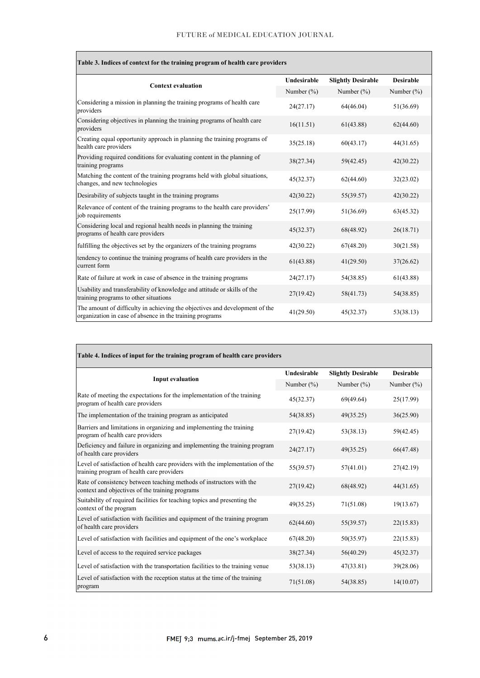$\overline{1}$ 

| Table 3. Indices of context for the training program of health care providers                                                           |                    |                           |                  |  |
|-----------------------------------------------------------------------------------------------------------------------------------------|--------------------|---------------------------|------------------|--|
| <b>Context evaluation</b>                                                                                                               | <b>Undesirable</b> | <b>Slightly Desirable</b> | <b>Desirable</b> |  |
|                                                                                                                                         | Number $(\% )$     | Number $(\% )$            | Number $(\% )$   |  |
| Considering a mission in planning the training programs of health care<br>providers                                                     | 24(27.17)          | 64(46.04)                 | 51(36.69)        |  |
| Considering objectives in planning the training programs of health care<br>providers                                                    | 16(11.51)          | 61(43.88)                 | 62(44.60)        |  |
| Creating equal opportunity approach in planning the training programs of<br>health care providers                                       | 35(25.18)          | 60(43.17)                 | 44(31.65)        |  |
| Providing required conditions for evaluating content in the planning of<br>training programs                                            | 38(27.34)          | 59(42.45)                 | 42(30.22)        |  |
| Matching the content of the training programs held with global situations,<br>changes, and new technologies                             | 45(32.37)          | 62(44.60)                 | 32(23.02)        |  |
| Desirability of subjects taught in the training programs                                                                                | 42(30.22)          | 55(39.57)                 | 42(30.22)        |  |
| Relevance of content of the training programs to the health care providers'<br>job requirements                                         | 25(17.99)          | 51(36.69)                 | 63(45.32)        |  |
| Considering local and regional health needs in planning the training<br>programs of health care providers                               | 45(32.37)          | 68(48.92)                 | 26(18.71)        |  |
| fulfilling the objectives set by the organizers of the training programs                                                                | 42(30.22)          | 67(48.20)                 | 30(21.58)        |  |
| tendency to continue the training programs of health care providers in the<br>current form                                              | 61(43.88)          | 41(29.50)                 | 37(26.62)        |  |
| Rate of failure at work in case of absence in the training programs                                                                     | 24(27.17)          | 54(38.85)                 | 61(43.88)        |  |
| Usability and transferability of knowledge and attitude or skills of the<br>training programs to other situations                       | 27(19.42)          | 58(41.73)                 | 54(38.85)        |  |
| The amount of difficulty in achieving the objectives and development of the<br>organization in case of absence in the training programs | 41(29.50)          | 45(32.37)                 | 53(38.13)        |  |

| Table 4. Indices of input for the training program of health care providers                                                |                    |                           |                  |
|----------------------------------------------------------------------------------------------------------------------------|--------------------|---------------------------|------------------|
|                                                                                                                            | <b>Undesirable</b> | <b>Slightly Desirable</b> | <b>Desirable</b> |
| <b>Input evaluation</b>                                                                                                    | Number $(\% )$     | Number $(\% )$            | Number $(\%)$    |
| Rate of meeting the expectations for the implementation of the training<br>program of health care providers                | 45(32.37)          | 69(49.64)                 | 25(17.99)        |
| The implementation of the training program as anticipated                                                                  | 54(38.85)          | 49(35.25)                 | 36(25.90)        |
| Barriers and limitations in organizing and implementing the training<br>program of health care providers                   | 27(19.42)          | 53(38.13)                 | 59(42.45)        |
| Deficiency and failure in organizing and implementing the training program<br>of health care providers                     | 24(27.17)          | 49(35.25)                 | 66(47.48)        |
| Level of satisfaction of health care providers with the implementation of the<br>training program of health care providers | 55(39.57)          | 57(41.01)                 | 27(42.19)        |
| Rate of consistency between teaching methods of instructors with the<br>context and objectives of the training programs    | 27(19.42)          | 68(48.92)                 | 44(31.65)        |
| Suitability of required facilities for teaching topics and presenting the<br>context of the program                        | 49(35.25)          | 71(51.08)                 | 19(13.67)        |
| Level of satisfaction with facilities and equipment of the training program<br>of health care providers                    | 62(44.60)          | 55(39.57)                 | 22(15.83)        |
| Level of satisfaction with facilities and equipment of the one's workplace                                                 | 67(48.20)          | 50(35.97)                 | 22(15.83)        |
| Level of access to the required service packages                                                                           | 38(27.34)          | 56(40.29)                 | 45(32.37)        |
| Level of satisfaction with the transportation facilities to the training venue                                             | 53(38.13)          | 47(33.81)                 | 39(28.06)        |
| Level of satisfaction with the reception status at the time of the training<br>program                                     | 71(51.08)          | 54(38.85)                 | 14(10.07)        |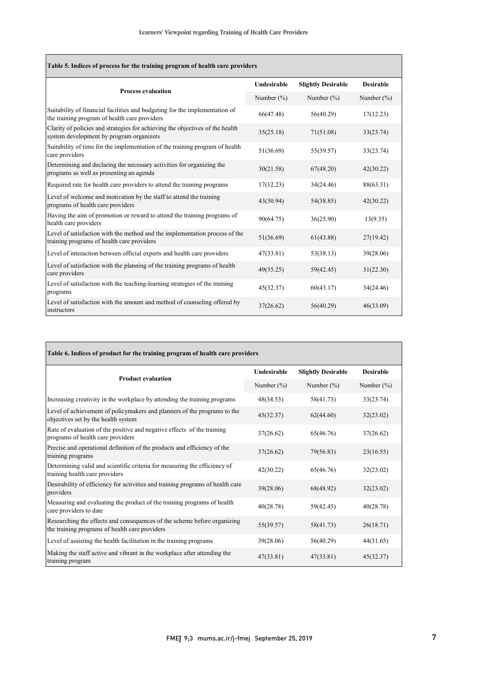| Table 5. Indices of process for the training program of health care providers                                                |                |                           |                  |  |
|------------------------------------------------------------------------------------------------------------------------------|----------------|---------------------------|------------------|--|
| <b>Process evaluation</b>                                                                                                    | Undesirable    | <b>Slightly Desirable</b> | <b>Desirable</b> |  |
|                                                                                                                              | Number $(\% )$ | Number $(\% )$            | Number $(\% )$   |  |
| Suitability of financial facilities and budgeting for the implementation of<br>the training program of health care providers | 66(47.48)      | 56(40.29)                 | 17(12.23)        |  |
| Clarity of policies and strategies for achieving the objectives of the health<br>system development by program organizers    | 35(25.18)      | 71(51.08)                 | 33(23.74)        |  |
| Suitability of time for the implementation of the training program of health<br>care providers                               | 51(36.69)      | 55(39.57)                 | 33(23.74)        |  |
| Determining and declaring the necessary activities for organizing the<br>programs as well as presenting an agenda            | 30(21.58)      | 67(48.20)                 | 42(30.22)        |  |
| Required rate for health care providers to attend the training programs                                                      | 17(12.23)      | 34(24.46)                 | 88(63.31)        |  |
| Level of welcome and motivation by the staff to attend the training<br>programs of health care providers                     | 43(30.94)      | 54(38.85)                 | 42(30.22)        |  |
| Having the aim of promotion or reward to attend the training programs of<br>health care providers                            | 90(64.75)      | 36(25.90)                 | 13(9.35)         |  |
| Level of satisfaction with the method and the implementation process of the<br>training programs of health care providers    | 51(36.69)      | 61(43.88)                 | 27(19.42)        |  |
| Level of interaction between official experts and health care providers                                                      | 47(33.81)      | 53(38.13)                 | 39(28.06)        |  |
| Level of satisfaction with the planning of the training programs of health<br>care providers                                 | 49(35.25)      | 59(42.45)                 | 31(22.30)        |  |
| Level of satisfaction with the teaching-learning strategies of the training<br>programs                                      | 45(32.37)      | 60(43.17)                 | 34(24.46)        |  |
| Level of satisfaction with the amount and method of counseling offered by<br>instructors                                     | 37(26.62)      | 56(40.29)                 | 46(33.09)        |  |

| Table 6. Indices of product for the training program of health care providers                                              |               |                           |                  |  |
|----------------------------------------------------------------------------------------------------------------------------|---------------|---------------------------|------------------|--|
|                                                                                                                            | Undesirable   | <b>Slightly Desirable</b> | <b>Desirable</b> |  |
| <b>Product evaluation</b>                                                                                                  | Number $(\%)$ | Number $(\%)$             | Number $(\%)$    |  |
| Increasing creativity in the workplace by attending the training programs                                                  | 48(34.53)     | 58(41.73)                 | 33(23.74)        |  |
| Level of achievement of policymakers and planners of the programs to the<br>objectives set by the health system            | 45(32.37)     | 62(44.60)                 | 32(23.02)        |  |
| Rate of evaluation of the positive and negative effects of the training<br>programs of health care providers               | 37(26.62)     | 65(46.76)                 | 37(26.62)        |  |
| Precise and operational definition of the products and efficiency of the<br>training programs                              | 37(26.62)     | 79(56.83)                 | 23(16.55)        |  |
| Determining valid and scientific criteria for measuring the efficiency of<br>training health care providers                | 42(30.22)     | 65(46.76)                 | 32(23.02)        |  |
| Desirability of efficiency for activities and training programs of health care<br>providers                                | 39(28.06)     | 68(48.92)                 | 32(23.02)        |  |
| Measuring and evaluating the product of the training programs of health<br>care providers to date                          | 40(28.78)     | 59(42.45)                 | 40(28.78)        |  |
| Researching the effects and consequences of the scheme before organizing<br>the training programs of health care providers | 55(39.57)     | 58(41.73)                 | 26(18.71)        |  |
| Level of assisting the health facilitation in the training programs                                                        | 39(28.06)     | 56(40.29)                 | 44(31.65)        |  |
| Making the staff active and vibrant in the workplace after attending the<br>training program                               | 47(33.81)     | 47(33.81)                 | 45(32.37)        |  |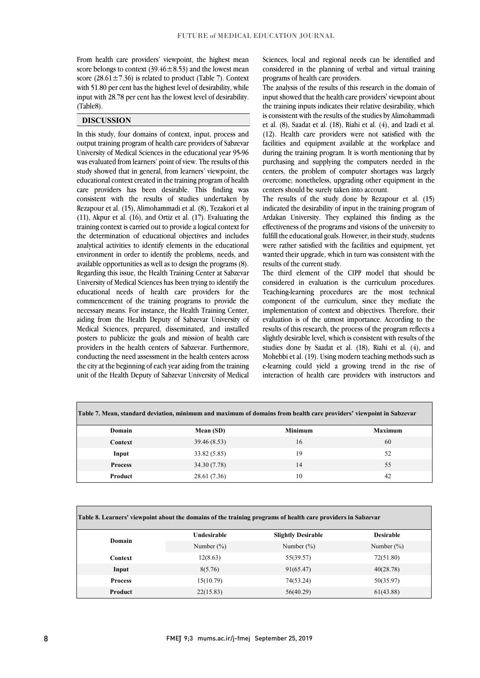From health care providers' viewpoint, the highest mean score belongs to context  $(39.46 \pm 8.53)$  and the lowest mean score (28.61 $\pm$ 7.36) is related to product (Table 7). Context with 51.80 per cent has the highest level of desirability, while input with 28.78 per cent has the lowest level of desirability. (Table8).

### **DISCUSSION**

In this study, four domains of context, input, process and output training program of health care providers of Sabzevar University of Medical Sciences in the educational year 95-96 was evaluated from learners' point of view. The results of this study showed that in general, from learners' viewpoint, the educational context created in the training program of health care providers has been desirable. This finding was consistent with the results of studies undertaken by Rezapour et al. (15), Alimohammadi et al. (8), Tezakori et al (11), Akpur et al. (16), and Ortiz et al. (17). Evaluating the training context is carried out to provide a logical context for the determination of educational objectives and includes analytical activities to identify elements in the educational environment in order to identify the problems, needs, and available opportunities as well as to design the programs (8). Regarding this issue, the Health Training Center at Sabzevar University of Medical Sciences has been trying to identify the educational needs of health care providers for the commencement of the training programs to provide the necessary means. For instance, the Health Training Center, aiding from the Health Deputy of Sabzevar University of Medical Sciences, prepared, disseminated, and installed posters to publicize the goals and mission of health care providers in the health centers of Sabzevar. Furthermore, conducting the need assessment in the health centers across the city at the beginning of each year aiding from the training unit of the Health Deputy of Sabzevar University of Medical Sciences, local and regional needs can be identified and considered in the planning of verbal and virtual training programs of health care providers.

The analysis of the results of this research in the domain of input showed that the health care providers' viewpoint about the training inputs indicates their relative desirability, which is consistent with the results of the studies by Alimohammadi et al. (8), Saadat et al. (18), Riahi et al. (4), and Izadi et al. (12). Health care providers were not satisfied with the facilities and equipment available at the workplace and during the training program. It is worth mentioning that by purchasing and supplying the computers needed in the centers, the problem of computer shortages was largely overcome; nonetheless, upgrading other equipment in the centers should be surely taken into account.

The results of the study done by Rezapour et al. (15) indicated the desirability of input in the training program of Ardakan University. They explained this finding as the effectiveness of the programs and visions of the university to fulfill the educational goals. However, in their study, students were rather satisfied with the facilities and equipment, yet wanted their upgrade, which in turn was consistent with the results of the current study.

The third element of the CIPP model that should be considered in evaluation is the curriculum procedures. Teaching-learning procedures are the most technical component of the curriculum, since they mediate the implementation of context and objectives. Therefore, their evaluation is of the utmost importance. According to the results of this research, the process of the program reflects a slightly desirable level, which is consistent with results of the studies done by Saadat et al. (18), Riahi et al. (4), and Mohebbi et al. (19). Using modern teaching methods such as e-learning could yield a growing trend in the rise of interaction of health care providers with instructors and

| Table 7. Mean, standard deviation, minimum and maximum of domains from health care providers' viewpoint in Sabzevar |              |                |                |  |
|---------------------------------------------------------------------------------------------------------------------|--------------|----------------|----------------|--|
| Domain                                                                                                              | Mean (SD)    | <b>Minimum</b> | <b>Maximum</b> |  |
| Context                                                                                                             | 39.46 (8.53) | 16             | 60             |  |
| Input                                                                                                               | 33.82 (5.85) | 19             | 52             |  |
| <b>Process</b>                                                                                                      | 34.30 (7.78) | 14             | 55             |  |
| Product                                                                                                             | 28.61 (7.36) | 10             | 42             |  |

| Table 8. Learners' viewpoint about the domains of the training programs of health care providers in Sabzevar |               |                           |                  |  |
|--------------------------------------------------------------------------------------------------------------|---------------|---------------------------|------------------|--|
| Domain                                                                                                       | Undesirable   | <b>Slightly Desirable</b> | <b>Desirable</b> |  |
|                                                                                                              | Number $(\%)$ | Number $(\%)$             | Number $(\%)$    |  |
| Context                                                                                                      | 12(8.63)      | 55(39.57)                 | 72(51.80)        |  |
| Input                                                                                                        | 8(5.76)       | 91(65.47)                 | 40(28.78)        |  |
| <b>Process</b>                                                                                               | 15(10.79)     | 74(53.24)                 | 50(35.97)        |  |
| Product                                                                                                      | 22(15.83)     | 56(40.29)                 | 61(43.88)        |  |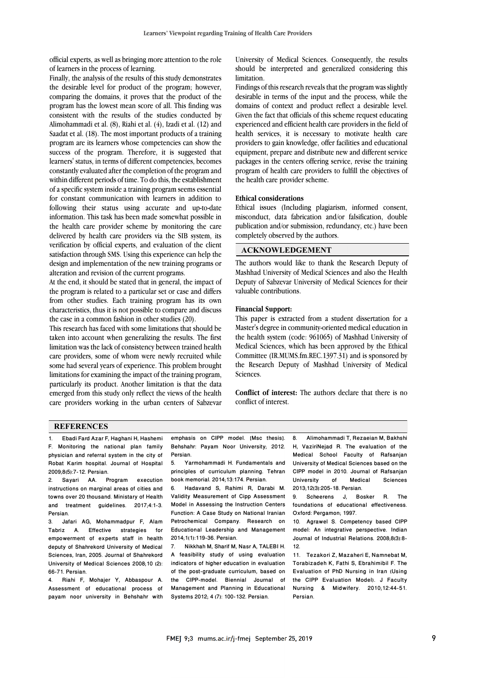official experts, as well as bringing more attention to the role of learners in the process of learning.

Finally, the analysis of the results of this study demonstrates the desirable level for product of the program; however, comparing the domains, it proves that the product of the program has the lowest mean score of all. This finding was consistent with the results of the studies conducted by Alimohammadi et al. (8), Riahi et al. (4), Izadi et al. (12) and Saadat et al. (18). The most important products of a training program are its learners whose competencies can show the success of the program. Therefore, it is suggested that learners' status, in terms of different competencies, becomes constantly evaluated after the completion of the program and within different periods of time. To do this, the establishment of a specific system inside a training program seems essential for constant communication with learners in addition to following their status using accurate and up-to-date information. This task has been made somewhat possible in the health care provider scheme by monitoring the care delivered by health care providers via the SIB system, its verification by official experts, and evaluation of the client satisfaction through SMS. Using this experience can help the design and implementation of the new training programs or alteration and revision of the current programs.

At the end, it should be stated that in general, the impact of the program is related to a particular set or case and differs from other studies. Each training program has its own characteristics, thus it is not possible to compare and discuss the case in a common fashion in other studies (20).

This research has faced with some limitations that should be taken into account when generalizing the results. The first limitation was the lack of consistency between trained health care providers, some of whom were newly recruited while some had several years of experience. This problem brought limitations for examining the impact of the training program, particularly its product. Another limitation is that the data emerged from this study only reflect the views of the health care providers working in the urban centers of Sabzevar University of Medical Sciences. Consequently, the results should be interpreted and generalized considering this limitation.

Findings of this research reveals that the program was slightly desirable in terms of the input and the process, while the domains of context and product reflect a desirable level. Given the fact that officials of this scheme request educating experienced and efficient health care providers in the field of health services, it is necessary to motivate health care providers to gain knowledge, offer facilities and educational equipment, prepare and distribute new and different service packages in the centers offering service, revise the training program of health care providers to fulfill the objectives of the health care provider scheme.

#### **Ethical considerations**

Ethical issues (Including plagiarism, informed consent, misconduct, data fabrication and/or falsification, double publication and/or submission, redundancy, etc.) have been completely observed by the authors.

## **ACKNOWLEDGEMENT**

The authors would like to thank the Research Deputy of Mashhad University of Medical Sciences and also the Health Deputy of Sabzevar University of Medical Sciences for their valuable contributions.

#### **Financial Support:**

This paper is extracted from a student dissertation for a Master's degree in community-oriented medical education in the health system (code: 961065) of Mashhad University of Medical Sciences, which has been approved by the Ethical Committee (IR.MUMS.fm.REC.1397.31) and is sponsored by the Research Deputy of Mashhad University of Medical Sciences.

**Conflict of interest:** The authors declare that there is no conflict of interest.

#### **REFERENCES**

1. Ebadi Fard Azar F, Haghani H, Hashemi F. Monitoring the national plan family physician and referral system in the city of Robat Karim hospital. Journal of Hospital 2009;8(5):7-12. Persian.

2. Sayari AA. Program execution instructions on marginal areas of cities and towns over 20 thousand. Ministary of Health and treatment guidelines. 2017;4:1-3. Persian.

3. Jafari AG, Mohammadpur F, Alam Tabriz A. Effective strategies for empowerment of experts staff in health deputy of Shahrekord University of Medical Sciences, Iran, 2005. Journal of Shahrekord University of Medical Sciences 2008;10 (2): 66-71. Persian.

4. Riahi F, Mohajer Y, Abbaspour A. Assessment of educational process of payam noor university in Behshahr with

emphasis on CIPP model. [Msc thesis]. Behshahr: Payam Noor University; 2012. Persian.<br>5. Ya

5. Yarmohammadi H. Fundamentals and principles of curriculum planning. Tehran book memorial. 2014;13:174. Persian.

6. Hadavand S, Rahimi R, Darabi M. Validity Measurement of Cipp Assessment Model in Assessing the Instruction Centers Function: A Case Study on National Iranian Petrochemical Company. Research on Educational Leadership and Management 2014;1(1):119-36. Persian.

7. Nikkhah M, Sharif M, Nasr A, TALEBI H. A feasibility study of using evaluation indicators of higher education in evaluation of the post-graduate curriculum, based on the CIPP-model. Biennial Journal of Management and Planning in Educational Systems 2012; 4 (7): 100-132. Persian.

8. Alimohammadi T, Rezaeian M, Bakhshi H, VaziriNejad R. The evaluation of the Medical School Faculty of Rafsanjan University of Medical Sciences based on the CIPP model in 2010. Journal of Rafsanjan University 2013;12(3):205-18. Persian.

9. Scheerens J, Bosker R. The foundations of educational effectiveness. Oxford: Pergamon; 1997.

10. Agrawel S. Competency based CIPP model: An integrative perspective. Indian Journal of Industrial Relations. 2008;8(3):8- 12.

11. Tezakori Z, Mazaheri E, Namnebat M, Torabizadeh K, Fathi S, Ebrahimibil F. The Evaluation of PhD Nursing in Iran (Using the CIPP Evaluation Model). J Faculty Nursing & Midwifery. 2010;12:44-51. Persian.